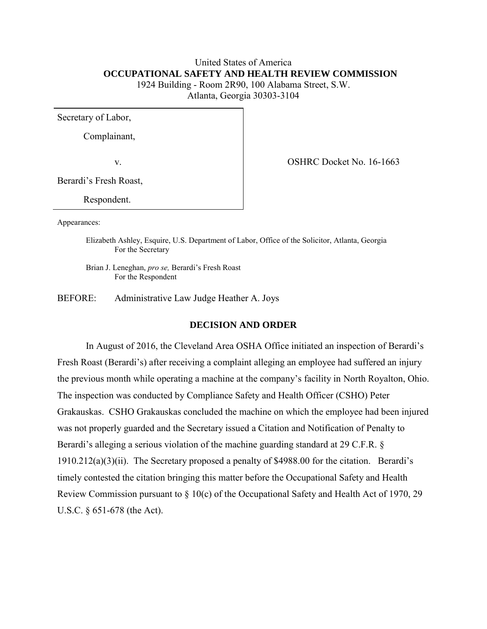# United States of America  **OCCUPATIONAL SAFETY AND HEALTH REVIEW COMMISSION**  1924 Building - Room 2R90, 100 Alabama Street, S.W. Atlanta, Georgia 30303-3104

Secretary of Labor,

Complainant,

v. Solution of the COSHRC Docket No. 16-1663

Berardi's Fresh Roast,

Respondent.

Appearances:

Elizabeth Ashley, Esquire, U.S. Department of Labor, Office of the Solicitor, Atlanta, Georgia For the Secretary

 Brian J. Leneghan, *pro se,* Berardi's Fresh Roast For the Respondent

BEFORE: Administrative Law Judge Heather A. Joys

### **DECISION AND ORDER**

In August of 2016, the Cleveland Area OSHA Office initiated an inspection of Berardi's Fresh Roast (Berardi's) after receiving a complaint alleging an employee had suffered an injury the previous month while operating a machine at the company's facility in North Royalton, Ohio. The inspection was conducted by Compliance Safety and Health Officer (CSHO) Peter Grakauskas. CSHO Grakauskas concluded the machine on which the employee had been injured was not properly guarded and the Secretary issued a Citation and Notification of Penalty to Berardi's alleging a serious violation of the machine guarding standard at 29 C.F.R. § 1910.212(a)(3)(ii). The Secretary proposed a penalty of \$4988.00 for the citation. Berardi's timely contested the citation bringing this matter before the Occupational Safety and Health Review Commission pursuant to  $\S 10(c)$  of the Occupational Safety and Health Act of 1970, 29 U.S.C. § 651-678 (the Act).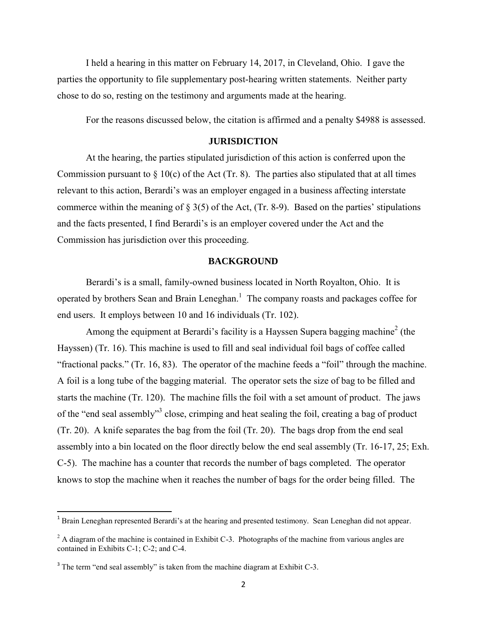I held a hearing in this matter on February 14, 2017, in Cleveland, Ohio. I gave the parties the opportunity to file supplementary post-hearing written statements. Neither party chose to do so, resting on the testimony and arguments made at the hearing.

For the reasons discussed below, the citation is affirmed and a penalty \$4988 is assessed.

## **JURISDICTION**

At the hearing, the parties stipulated jurisdiction of this action is conferred upon the Commission pursuant to  $\S$  10(c) of the Act (Tr. 8). The parties also stipulated that at all times relevant to this action, Berardi's was an employer engaged in a business affecting interstate commerce within the meaning of  $\S 3(5)$  of the Act, (Tr. 8-9). Based on the parties' stipulations and the facts presented, I find Berardi's is an employer covered under the Act and the Commission has jurisdiction over this proceeding.

### **BACKGROUND**

 Berardi's is a small, family-owned business located in North Royalton, Ohio. It is operated by brothers Sean and Brain Leneghan.<sup>1</sup> The company roasts and packages coffee for end users. It employs between 10 and 16 individuals (Tr. 102).

Among the equipment at Berardi's facility is a Hayssen Supera bagging machine<sup>2</sup> (the Hayssen) (Tr. 16). This machine is used to fill and seal individual foil bags of coffee called "fractional packs." (Tr. 16, 83). The operator of the machine feeds a "foil" through the machine. A foil is a long tube of the bagging material. The operator sets the size of bag to be filled and starts the machine (Tr. 120). The machine fills the foil with a set amount of product. The jaws of the "end seal assembly"<sup>3</sup> close, crimping and heat sealing the foil, creating a bag of product (Tr. 20). A knife separates the bag from the foil (Tr. 20). The bags drop from the end seal assembly into a bin located on the floor directly below the end seal assembly (Tr. 16-17, 25; Exh. C-5). The machine has a counter that records the number of bags completed. The operator knows to stop the machine when it reaches the number of bags for the order being filled. The

<sup>1&</sup>lt;br><sup>1</sup> Brain Leneghan represented Berardi's at the hearing and presented testimony. Sean Leneghan did not appear.

 $2$  A diagram of the machine is contained in Exhibit C-3. Photographs of the machine from various angles are contained in Exhibits C-1; C-2; and C-4.

 $3$  The term "end seal assembly" is taken from the machine diagram at Exhibit C-3.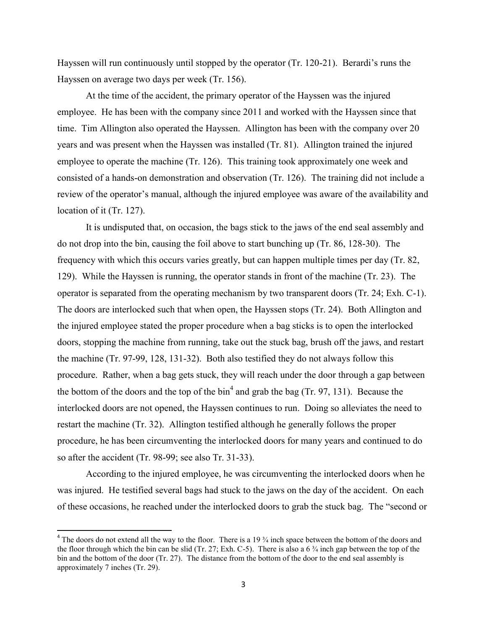Hayssen will run continuously until stopped by the operator (Tr. 120-21). Berardi's runs the Hayssen on average two days per week (Tr. 156).

 At the time of the accident, the primary operator of the Hayssen was the injured employee. He has been with the company since 2011 and worked with the Hayssen since that time. Tim Allington also operated the Hayssen. Allington has been with the company over 20 years and was present when the Hayssen was installed (Tr. 81). Allington trained the injured employee to operate the machine (Tr. 126). This training took approximately one week and consisted of a hands-on demonstration and observation (Tr. 126). The training did not include a review of the operator's manual, although the injured employee was aware of the availability and location of it (Tr. 127).

 It is undisputed that, on occasion, the bags stick to the jaws of the end seal assembly and do not drop into the bin, causing the foil above to start bunching up (Tr. 86, 128-30). The frequency with which this occurs varies greatly, but can happen multiple times per day (Tr. 82, 129). While the Hayssen is running, the operator stands in front of the machine (Tr. 23). The operator is separated from the operating mechanism by two transparent doors (Tr. 24; Exh. C-1). The doors are interlocked such that when open, the Hayssen stops (Tr. 24). Both Allington and the injured employee stated the proper procedure when a bag sticks is to open the interlocked doors, stopping the machine from running, take out the stuck bag, brush off the jaws, and restart the machine (Tr. 97-99, 128, 131-32). Both also testified they do not always follow this procedure. Rather, when a bag gets stuck, they will reach under the door through a gap between the bottom of the doors and the top of the  $\sin^4$  and grab the bag (Tr. 97, 131). Because the interlocked doors are not opened, the Hayssen continues to run. Doing so alleviates the need to restart the machine (Tr. 32). Allington testified although he generally follows the proper procedure, he has been circumventing the interlocked doors for many years and continued to do so after the accident (Tr. 98-99; see also Tr. 31-33).

 According to the injured employee, he was circumventing the interlocked doors when he was injured. He testified several bags had stuck to the jaws on the day of the accident. On each of these occasions, he reached under the interlocked doors to grab the stuck bag. The "second or

 $\overline{\phantom{a}}$ 

 $4$  The doors do not extend all the way to the floor. There is a 19  $\frac{3}{4}$  inch space between the bottom of the doors and the floor through which the bin can be slid (Tr. 27; Exh. C-5). There is also a 6  $\frac{3}{4}$  inch gap between the top of the bin and the bottom of the door (Tr. 27). The distance from the bottom of the door to the end seal assembly is approximately 7 inches (Tr. 29).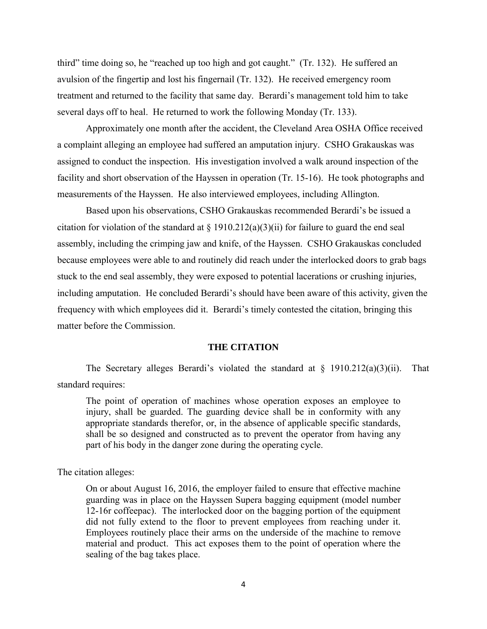third" time doing so, he "reached up too high and got caught." (Tr. 132). He suffered an avulsion of the fingertip and lost his fingernail (Tr. 132). He received emergency room treatment and returned to the facility that same day. Berardi's management told him to take several days off to heal. He returned to work the following Monday (Tr. 133).

 Approximately one month after the accident, the Cleveland Area OSHA Office received a complaint alleging an employee had suffered an amputation injury. CSHO Grakauskas was assigned to conduct the inspection. His investigation involved a walk around inspection of the facility and short observation of the Hayssen in operation (Tr. 15-16). He took photographs and measurements of the Hayssen. He also interviewed employees, including Allington.

 Based upon his observations, CSHO Grakauskas recommended Berardi's be issued a citation for violation of the standard at  $\S$  1910.212(a)(3)(ii) for failure to guard the end seal assembly, including the crimping jaw and knife, of the Hayssen. CSHO Grakauskas concluded because employees were able to and routinely did reach under the interlocked doors to grab bags stuck to the end seal assembly, they were exposed to potential lacerations or crushing injuries, including amputation. He concluded Berardi's should have been aware of this activity, given the frequency with which employees did it. Berardi's timely contested the citation, bringing this matter before the Commission.

#### **THE CITATION**

The Secretary alleges Berardi's violated the standard at  $\S$  1910.212(a)(3)(ii). That standard requires:

The point of operation of machines whose operation exposes an employee to injury, shall be guarded. The guarding device shall be in conformity with any appropriate standards therefor, or, in the absence of applicable specific standards, shall be so designed and constructed as to prevent the operator from having any part of his body in the danger zone during the operating cycle.

The citation alleges:

On or about August 16, 2016, the employer failed to ensure that effective machine guarding was in place on the Hayssen Supera bagging equipment (model number 12-16r coffeepac). The interlocked door on the bagging portion of the equipment did not fully extend to the floor to prevent employees from reaching under it. Employees routinely place their arms on the underside of the machine to remove material and product. This act exposes them to the point of operation where the sealing of the bag takes place.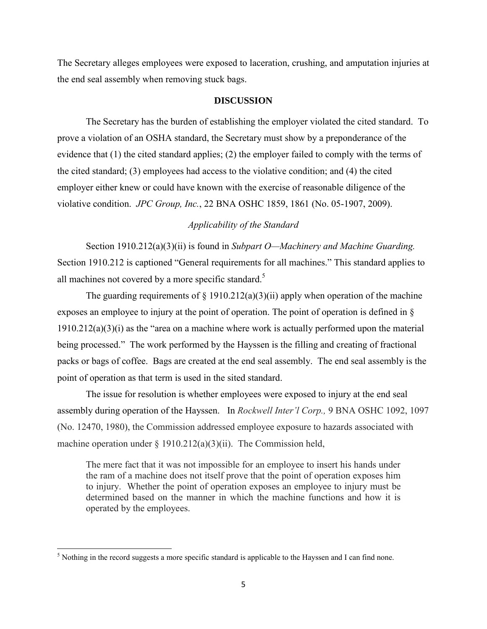The Secretary alleges employees were exposed to laceration, crushing, and amputation injuries at the end seal assembly when removing stuck bags.

#### **DISCUSSION**

 The Secretary has the burden of establishing the employer violated the cited standard. To prove a violation of an OSHA standard, the Secretary must show by a preponderance of the evidence that (1) the cited standard applies; (2) the employer failed to comply with the terms of the cited standard; (3) employees had access to the violative condition; and (4) the cited employer either knew or could have known with the exercise of reasonable diligence of the violative condition. *JPC Group, Inc.*, 22 BNA OSHC 1859, 1861 (No. 05-1907, 2009).

## *Applicability of the Standard*

 Section 1910.212(a)(3)(ii) is found in *Subpart O—Machinery and Machine Guarding.*  Section 1910.212 is captioned "General requirements for all machines." This standard applies to all machines not covered by a more specific standard.<sup>5</sup>

The guarding requirements of  $\S$  1910.212(a)(3)(ii) apply when operation of the machine exposes an employee to injury at the point of operation. The point of operation is defined in §  $1910.212(a)(3)(i)$  as the "area on a machine where work is actually performed upon the material being processed." The work performed by the Hayssen is the filling and creating of fractional packs or bags of coffee. Bags are created at the end seal assembly. The end seal assembly is the point of operation as that term is used in the sited standard.

 The issue for resolution is whether employees were exposed to injury at the end seal assembly during operation of the Hayssen. In *Rockwell Inter'l Corp.,* 9 BNA OSHC 1092, 1097 (No. 12470, 1980), the Commission addressed employee exposure to hazards associated with machine operation under  $\S 1910.212(a)(3)(ii)$ . The Commission held,

The mere fact that it was not impossible for an employee to insert his hands under the ram of a machine does not itself prove that the point of operation exposes him to injury. Whether the point of operation exposes an employee to injury must be determined based on the manner in which the machine functions and how it is operated by the employees.

<sup>&</sup>lt;sup>5</sup> Nothing in the record suggests a more specific standard is applicable to the Hayssen and I can find none.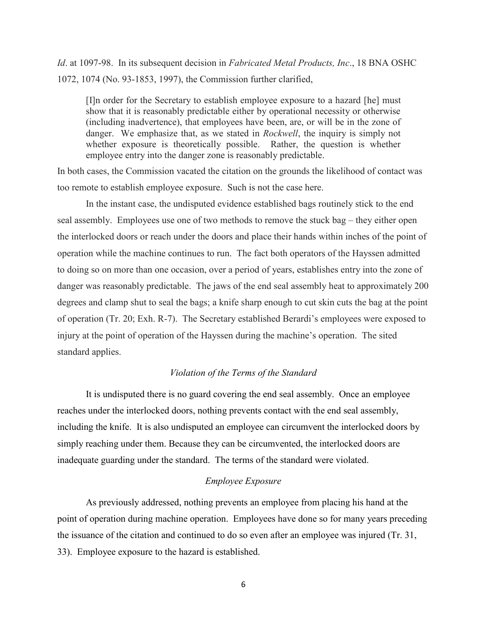*Id*. at 1097-98. In its subsequent decision in *Fabricated Metal Products, Inc*., 18 BNA OSHC 1072, 1074 (No. 93-1853, 1997), the Commission further clarified,

[I]n order for the Secretary to establish employee exposure to a hazard [he] must show that it is reasonably predictable either by operational necessity or otherwise (including inadvertence), that employees have been, are, or will be in the zone of danger. We emphasize that, as we stated in *Rockwell*, the inquiry is simply not whether exposure is theoretically possible. Rather, the question is whether employee entry into the danger zone is reasonably predictable.

In both cases, the Commission vacated the citation on the grounds the likelihood of contact was too remote to establish employee exposure. Such is not the case here.

 In the instant case, the undisputed evidence established bags routinely stick to the end seal assembly. Employees use one of two methods to remove the stuck bag – they either open the interlocked doors or reach under the doors and place their hands within inches of the point of operation while the machine continues to run. The fact both operators of the Hayssen admitted to doing so on more than one occasion, over a period of years, establishes entry into the zone of danger was reasonably predictable. The jaws of the end seal assembly heat to approximately 200 degrees and clamp shut to seal the bags; a knife sharp enough to cut skin cuts the bag at the point of operation (Tr. 20; Exh. R-7). The Secretary established Berardi's employees were exposed to injury at the point of operation of the Hayssen during the machine's operation. The sited standard applies.

## *Violation of the Terms of the Standard*

 It is undisputed there is no guard covering the end seal assembly. Once an employee reaches under the interlocked doors, nothing prevents contact with the end seal assembly, including the knife. It is also undisputed an employee can circumvent the interlocked doors by simply reaching under them. Because they can be circumvented, the interlocked doors are inadequate guarding under the standard. The terms of the standard were violated.

## *Employee Exposure*

 As previously addressed, nothing prevents an employee from placing his hand at the point of operation during machine operation. Employees have done so for many years preceding the issuance of the citation and continued to do so even after an employee was injured (Tr. 31, 33). Employee exposure to the hazard is established.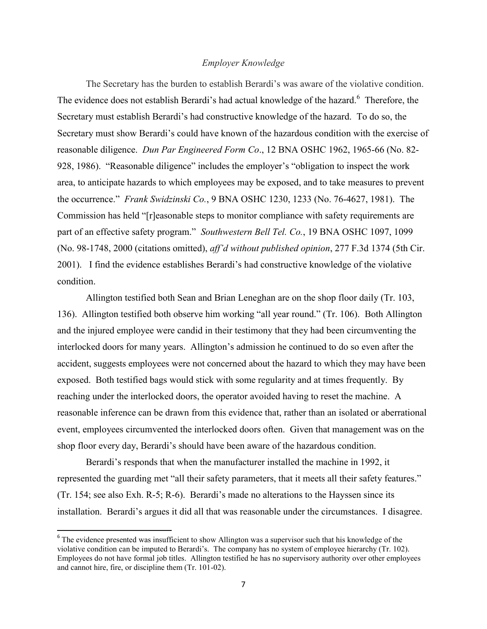### *Employer Knowledge*

The Secretary has the burden to establish Berardi's was aware of the violative condition. The evidence does not establish Berardi's had actual knowledge of the hazard.<sup>6</sup> Therefore, the Secretary must establish Berardi's had constructive knowledge of the hazard. To do so, the Secretary must show Berardi's could have known of the hazardous condition with the exercise of reasonable diligence. *Dun Par Engineered Form Co*., 12 BNA OSHC 1962, 1965-66 (No. 82- 928, 1986). "Reasonable diligence" includes the employer's "obligation to inspect the work area, to anticipate hazards to which employees may be exposed, and to take measures to prevent the occurrence." *Frank Swidzinski Co.*, 9 BNA OSHC 1230, 1233 (No. 76-4627, 1981). The Commission has held "[r]easonable steps to monitor compliance with safety requirements are part of an effective safety program." *Southwestern Bell Tel. Co.*, 19 BNA OSHC 1097, 1099 (No. 98-1748, 2000 (citations omitted), *aff'd without published opinion*, 277 F.3d 1374 (5th Cir. 2001). I find the evidence establishes Berardi's had constructive knowledge of the violative condition.

 Allington testified both Sean and Brian Leneghan are on the shop floor daily (Tr. 103, 136). Allington testified both observe him working "all year round." (Tr. 106). Both Allington and the injured employee were candid in their testimony that they had been circumventing the interlocked doors for many years. Allington's admission he continued to do so even after the accident, suggests employees were not concerned about the hazard to which they may have been exposed. Both testified bags would stick with some regularity and at times frequently. By reaching under the interlocked doors, the operator avoided having to reset the machine. A reasonable inference can be drawn from this evidence that, rather than an isolated or aberrational event, employees circumvented the interlocked doors often. Given that management was on the shop floor every day, Berardi's should have been aware of the hazardous condition.

 Berardi's responds that when the manufacturer installed the machine in 1992, it represented the guarding met "all their safety parameters, that it meets all their safety features." (Tr. 154; see also Exh. R-5; R-6). Berardi's made no alterations to the Hayssen since its installation. Berardi's argues it did all that was reasonable under the circumstances. I disagree.

 $\overline{\phantom{a}}$ 

<sup>&</sup>lt;sup>6</sup> The evidence presented was insufficient to show Allington was a supervisor such that his knowledge of the violative condition can be imputed to Berardi's. The company has no system of employee hierarchy (Tr. 102). Employees do not have formal job titles. Allington testified he has no supervisory authority over other employees and cannot hire, fire, or discipline them (Tr. 101-02).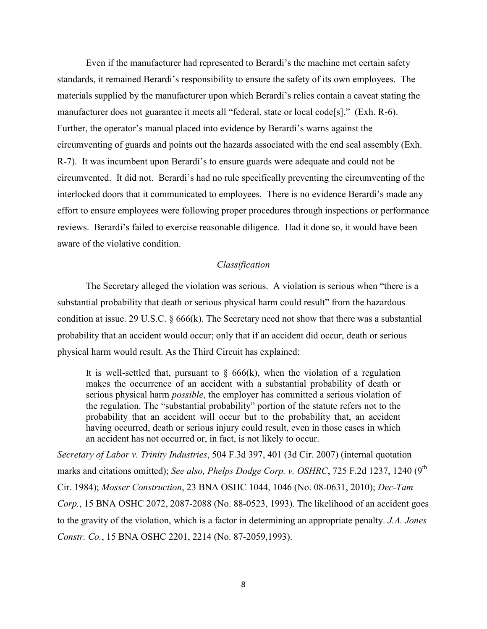Even if the manufacturer had represented to Berardi's the machine met certain safety standards, it remained Berardi's responsibility to ensure the safety of its own employees. The materials supplied by the manufacturer upon which Berardi's relies contain a caveat stating the manufacturer does not guarantee it meets all "federal, state or local code[s]." (Exh. R-6). Further, the operator's manual placed into evidence by Berardi's warns against the circumventing of guards and points out the hazards associated with the end seal assembly (Exh. R-7). It was incumbent upon Berardi's to ensure guards were adequate and could not be circumvented. It did not. Berardi's had no rule specifically preventing the circumventing of the interlocked doors that it communicated to employees. There is no evidence Berardi's made any effort to ensure employees were following proper procedures through inspections or performance reviews. Berardi's failed to exercise reasonable diligence. Had it done so, it would have been aware of the violative condition.

#### *Classification*

The Secretary alleged the violation was serious. A violation is serious when "there is a substantial probability that death or serious physical harm could result" from the hazardous condition at issue. [29 U.S.C. § 666\(k\).](https://a.next.westlaw.com/Link/Document/FullText?findType=L&pubNum=1000546&cite=29USCAS666&originatingDoc=I506d03ad178f11e2b60bb297d3d07bc5&refType=RB&originationContext=document&transitionType=DocumentItem&contextData=(sc.Search)#co_pp_340a00009b6f3) The Secretary need not show that there was a substantial probability that an accident would occur; only that if an accident did occur, death or serious physical harm would result. As the Third Circuit has explained:

It is well-settled that, pursuant to  $\S$  666(k), when the violation of a regulation makes the occurrence of an accident with a substantial probability of death or serious physical harm *possible*, the employer has committed a serious violation of the regulation. The "substantial probability" portion of the statute refers not to the probability that an accident will occur but to the probability that, an accident having occurred, death or serious injury could result, even in those cases in which an accident has not occurred or, in fact, is not likely to occur.

*[Secretary of Labor v. Trinity Industries](https://a.next.westlaw.com/Link/Document/FullText?findType=Y&serNum=2013096350&pubNum=506&originatingDoc=I506d03ad178f11e2b60bb297d3d07bc5&refType=RP&fi=co_pp_sp_506_401&originationContext=document&transitionType=DocumentItem&contextData=(sc.Search)#co_pp_sp_506_401)*, 504 F.3d 397, 401 (3d Cir. 2007) (internal quotation marks and citations omitted); See also, [Phelps Dodge Corp. v. OSHRC](https://a.next.westlaw.com/Link/Document/FullText?findType=Y&serNum=1984108374&pubNum=350&originatingDoc=I506d03ad178f11e2b60bb297d3d07bc5&refType=RP&fi=co_pp_sp_350_1240&originationContext=document&transitionType=DocumentItem&contextData=(sc.Search)#co_pp_sp_350_1240), 725 F.2d 1237, 1240 (9<sup>th</sup> [Cir. 1984\);](https://a.next.westlaw.com/Link/Document/FullText?findType=Y&serNum=1984108374&pubNum=350&originatingDoc=I506d03ad178f11e2b60bb297d3d07bc5&refType=RP&fi=co_pp_sp_350_1240&originationContext=document&transitionType=DocumentItem&contextData=(sc.Search)#co_pp_sp_350_1240) *Mosser Construction*[, 23 BNA OSHC 1044, 1046 \(No. 08-0631, 2010\);](https://a.next.westlaw.com/Link/Document/FullText?findType=Y&serNum=2021461301&pubNum=0003227&originatingDoc=I506d03ad178f11e2b60bb297d3d07bc5&refType=CA&fi=co_pp_sp_3227_1046&originationContext=document&transitionType=DocumentItem&contextData=(sc.Search)#co_pp_sp_3227_1046) *[Dec-Tam](https://a.next.westlaw.com/Link/Document/FullText?findType=Y&serNum=1993474368&pubNum=0003227&originatingDoc=I506d03ad178f11e2b60bb297d3d07bc5&refType=CA&fi=co_pp_sp_3227_2087&originationContext=document&transitionType=DocumentItem&contextData=(sc.Search)#co_pp_sp_3227_2087)  Corp.*[, 15 BNA OSHC 2072, 2087-2088 \(No. 88-0523, 1993\).](https://a.next.westlaw.com/Link/Document/FullText?findType=Y&serNum=1993474368&pubNum=0003227&originatingDoc=I506d03ad178f11e2b60bb297d3d07bc5&refType=CA&fi=co_pp_sp_3227_2087&originationContext=document&transitionType=DocumentItem&contextData=(sc.Search)#co_pp_sp_3227_2087) The likelihood of an accident goes to the gravity of the violation, which is a factor in determining an appropriate penalty. *[J.A. Jones](https://a.next.westlaw.com/Link/Document/FullText?findType=Y&serNum=1993474385&pubNum=0003227&originatingDoc=I506d03ad178f11e2b60bb297d3d07bc5&refType=CA&fi=co_pp_sp_3227_2214&originationContext=document&transitionType=DocumentItem&contextData=(sc.Search)#co_pp_sp_3227_2214)  Constr. Co.*[, 15 BNA OSHC 2201,](https://a.next.westlaw.com/Link/Document/FullText?findType=Y&serNum=1993474385&pubNum=0003227&originatingDoc=I506d03ad178f11e2b60bb297d3d07bc5&refType=CA&fi=co_pp_sp_3227_2214&originationContext=document&transitionType=DocumentItem&contextData=(sc.Search)#co_pp_sp_3227_2214) 2214 (No. 87-2059,1993).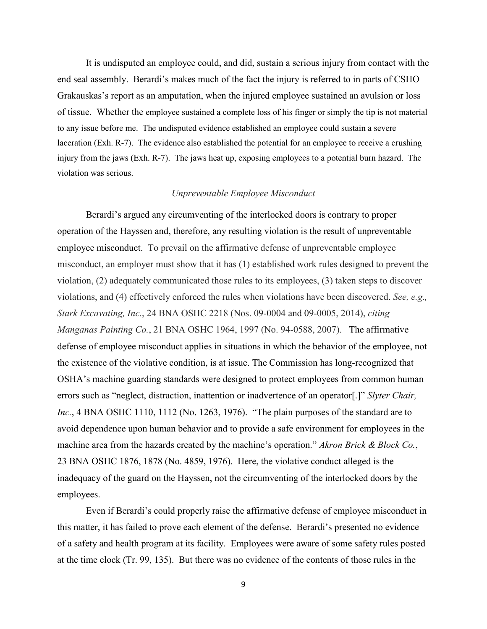It is undisputed an employee could, and did, sustain a serious injury from contact with the end seal assembly. Berardi's makes much of the fact the injury is referred to in parts of CSHO Grakauskas's report as an amputation, when the injured employee sustained an avulsion or loss of tissue. Whether the employee sustained a complete loss of his finger or simply the tip is not material to any issue before me. The undisputed evidence established an employee could sustain a severe laceration (Exh. R-7). The evidence also established the potential for an employee to receive a crushing injury from the jaws (Exh. R-7). The jaws heat up, exposing employees to a potential burn hazard. The violation was serious.

# *Unpreventable Employee Misconduct*

Berardi's argued any circumventing of the interlocked doors is contrary to proper operation of the Hayssen and, therefore, any resulting violation is the result of unpreventable employee misconduct. To prevail on the affirmative defense of unpreventable employee misconduct, an employer must show that it has (1) established work rules designed to prevent the violation, (2) adequately communicated those rules to its employees, (3) taken steps to discover violations, and (4) effectively enforced the rules when violations have been discovered. *See, e.g., Stark Excavating, Inc.*, 24 BNA OSHC 2218 (Nos. 09-0004 and 09-0005, 2014), *citing Manganas Painting Co.*, 21 BNA OSHC 1964, 1997 (No. 94-0588, 2007). The affirmative defense of employee misconduct applies in situations in which the behavior of the employee, not the existence of the violative condition, is at issue. The Commission has long-recognized that OSHA's machine guarding standards were designed to protect employees from common human errors such as "neglect, distraction, inattention or inadvertence of an operator[.]" *Slyter Chair, Inc.*, 4 BNA OSHC 1110, 1112 (No. 1263, 1976). "The plain purposes of the standard are to avoid dependence upon human behavior and to provide a safe environment for employees in the machine area from the hazards created by the machine's operation." *Akron Brick & Block Co.*, 23 BNA OSHC 1876, 1878 (No. 4859, 1976). Here, the violative conduct alleged is the inadequacy of the guard on the Hayssen, not the circumventing of the interlocked doors by the employees.

Even if Berardi's could properly raise the affirmative defense of employee misconduct in this matter, it has failed to prove each element of the defense. Berardi's presented no evidence of a safety and health program at its facility. Employees were aware of some safety rules posted at the time clock (Tr. 99, 135). But there was no evidence of the contents of those rules in the

9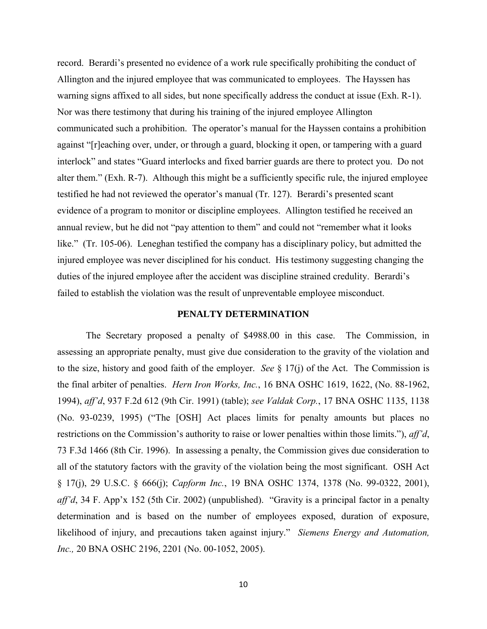record. Berardi's presented no evidence of a work rule specifically prohibiting the conduct of Allington and the injured employee that was communicated to employees. The Hayssen has warning signs affixed to all sides, but none specifically address the conduct at issue (Exh. R-1). Nor was there testimony that during his training of the injured employee Allington communicated such a prohibition. The operator's manual for the Hayssen contains a prohibition against "[r]eaching over, under, or through a guard, blocking it open, or tampering with a guard interlock" and states "Guard interlocks and fixed barrier guards are there to protect you. Do not alter them." (Exh. R-7). Although this might be a sufficiently specific rule, the injured employee testified he had not reviewed the operator's manual (Tr. 127). Berardi's presented scant evidence of a program to monitor or discipline employees. Allington testified he received an annual review, but he did not "pay attention to them" and could not "remember what it looks like." (Tr. 105-06). Leneghan testified the company has a disciplinary policy, but admitted the injured employee was never disciplined for his conduct. His testimony suggesting changing the duties of the injured employee after the accident was discipline strained credulity. Berardi's failed to establish the violation was the result of unpreventable employee misconduct.

## **PENALTY DETERMINATION**

The Secretary proposed a penalty of \$4988.00 in this case. The Commission, in assessing an appropriate penalty, must give due consideration to the gravity of the violation and to the size, history and good faith of the employer. *See* § 17(j) of the Act. The Commission is the final arbiter of penalties. *Hern Iron Works, Inc.*, 16 BNA OSHC 1619, 1622, (No. 88-1962, 1994), *aff'd*, 937 F.2d 612 (9th Cir. 1991) (table); *see Valdak Corp.*, 17 BNA OSHC 1135, 1138 (No. 93-0239, 1995) ("The [OSH] Act places limits for penalty amounts but places no restrictions on the Commission's authority to raise or lower penalties within those limits."), *aff'd*, 73 F.3d 1466 (8th Cir. 1996). In assessing a penalty, the Commission gives due consideration to all of the statutory factors with the gravity of the violation being the most significant. OSH Act § 17(j), 29 U.S.C. § 666(j); *Capform Inc.*, 19 BNA OSHC 1374, 1378 (No. 99-0322, 2001), *aff'd*, 34 F. App'x 152 (5th Cir. 2002) (unpublished). "Gravity is a principal factor in a penalty determination and is based on the number of employees exposed, duration of exposure, likelihood of injury, and precautions taken against injury." *Siemens Energy and Automation, Inc.,* 20 BNA OSHC 2196, 2201 (No. 00-1052, 2005).